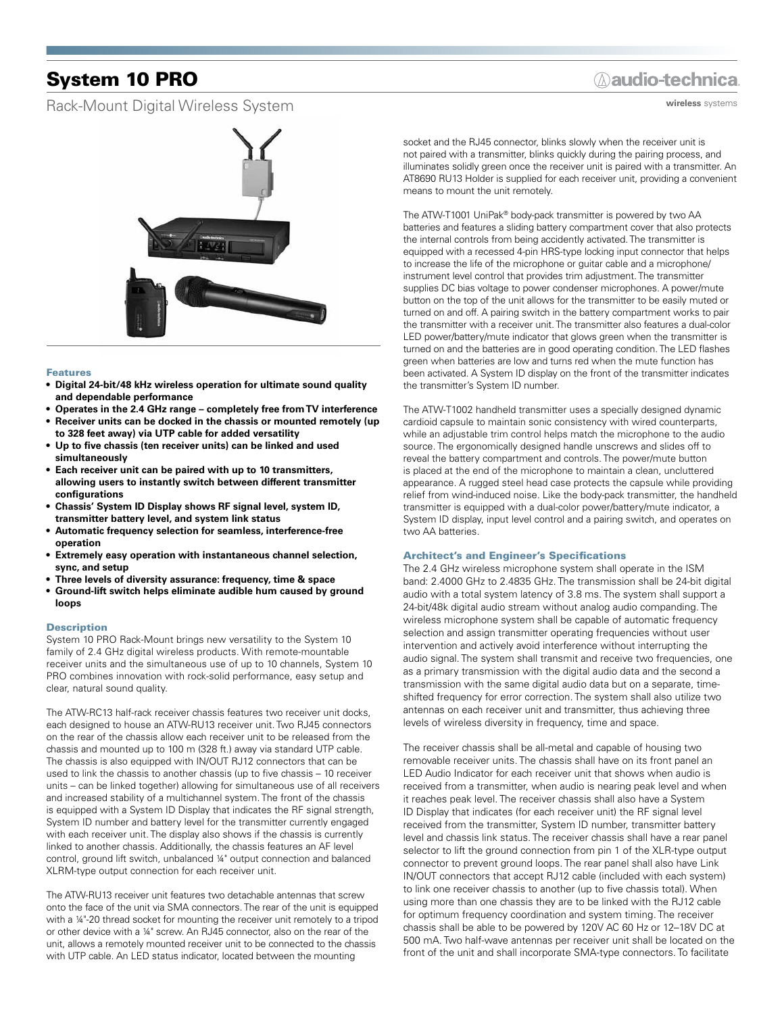# System 10 PRO

## Rack-Mount Digital Wireless System



### Features

- **• Digital 24-bit/48 kHz wireless operation for ultimate sound quality and dependable performance**
- **• Operates in the 2.4 GHz range completely free from TV interference • Receiver units can be docked in the chassis or mounted remotely (up to 328 feet away) via UTP cable for added versatility**
- **• Up to five chassis (ten receiver units) can be linked and used simultaneously**
- **• Each receiver unit can be paired with up to 10 transmitters, allowing users to instantly switch between different transmitter configurations**
- **• Chassis' System ID Display shows RF signal level, system ID, transmitter battery level, and system link status**
- **• Automatic frequency selection for seamless, interference-free operation**
- **• Extremely easy operation with instantaneous channel selection, sync, and setup**
- **• Three levels of diversity assurance: frequency, time & space**
- **• Ground-lift switch helps eliminate audible hum caused by ground loops**

#### **Description**

System 10 PRO Rack-Mount brings new versatility to the System 10 family of 2.4 GHz digital wireless products. With remote-mountable receiver units and the simultaneous use of up to 10 channels, System 10 PRO combines innovation with rock-solid performance, easy setup and clear, natural sound quality.

The ATW-RC13 half-rack receiver chassis features two receiver unit docks, each designed to house an ATW-RU13 receiver unit. Two RJ45 connectors on the rear of the chassis allow each receiver unit to be released from the chassis and mounted up to 100 m (328 ft.) away via standard UTP cable. The chassis is also equipped with IN/OUT RJ12 connectors that can be used to link the chassis to another chassis (up to five chassis – 10 receiver units – can be linked together) allowing for simultaneous use of all receivers and increased stability of a multichannel system. The front of the chassis is equipped with a System ID Display that indicates the RF signal strength, System ID number and battery level for the transmitter currently engaged with each receiver unit. The display also shows if the chassis is currently linked to another chassis. Additionally, the chassis features an AF level control, ground lift switch, unbalanced ¼" output connection and balanced XLRM-type output connection for each receiver unit.

The ATW-RU13 receiver unit features two detachable antennas that screw onto the face of the unit via SMA connectors. The rear of the unit is equipped with a ¼"-20 thread socket for mounting the receiver unit remotely to a tripod or other device with a ¼" screw. An RJ45 connector, also on the rear of the unit, allows a remotely mounted receiver unit to be connected to the chassis with UTP cable. An LED status indicator, located between the mounting

## **Aaudio-technica**

**wireless** systems

socket and the RJ45 connector, blinks slowly when the receiver unit is not paired with a transmitter, blinks quickly during the pairing process, and illuminates solidly green once the receiver unit is paired with a transmitter. An AT8690 RU13 Holder is supplied for each receiver unit, providing a convenient means to mount the unit remotely.

The ATW-T1001 UniPak® body-pack transmitter is powered by two AA batteries and features a sliding battery compartment cover that also protects the internal controls from being accidently activated. The transmitter is equipped with a recessed 4-pin HRS-type locking input connector that helps to increase the life of the microphone or guitar cable and a microphone/ instrument level control that provides trim adjustment. The transmitter supplies DC bias voltage to power condenser microphones. A power/mute button on the top of the unit allows for the transmitter to be easily muted or turned on and off. A pairing switch in the battery compartment works to pair the transmitter with a receiver unit. The transmitter also features a dual-color LED power/battery/mute indicator that glows green when the transmitter is turned on and the batteries are in good operating condition. The LED flashes green when batteries are low and turns red when the mute function has been activated. A System ID display on the front of the transmitter indicates the transmitter's System ID number.

The ATW-T1002 handheld transmitter uses a specially designed dynamic cardioid capsule to maintain sonic consistency with wired counterparts, while an adjustable trim control helps match the microphone to the audio source. The ergonomically designed handle unscrews and slides off to reveal the battery compartment and controls. The power/mute button is placed at the end of the microphone to maintain a clean, uncluttered appearance. A rugged steel head case protects the capsule while providing relief from wind-induced noise. Like the body-pack transmitter, the handheld transmitter is equipped with a dual-color power/battery/mute indicator, a System ID display, input level control and a pairing switch, and operates on two AA batteries.

#### Architect's and Engineer's Specifications

The 2.4 GHz wireless microphone system shall operate in the ISM band: 2.4000 GHz to 2.4835 GHz. The transmission shall be 24-bit digital audio with a total system latency of 3.8 ms. The system shall support a 24-bit/48k digital audio stream without analog audio companding. The wireless microphone system shall be capable of automatic frequency selection and assign transmitter operating frequencies without user intervention and actively avoid interference without interrupting the audio signal. The system shall transmit and receive two frequencies, one as a primary transmission with the digital audio data and the second a transmission with the same digital audio data but on a separate, timeshifted frequency for error correction. The system shall also utilize two antennas on each receiver unit and transmitter, thus achieving three levels of wireless diversity in frequency, time and space.

The receiver chassis shall be all-metal and capable of housing two removable receiver units. The chassis shall have on its front panel an LED Audio Indicator for each receiver unit that shows when audio is received from a transmitter, when audio is nearing peak level and when it reaches peak level. The receiver chassis shall also have a System ID Display that indicates (for each receiver unit) the RF signal level received from the transmitter, System ID number, transmitter battery level and chassis link status. The receiver chassis shall have a rear panel selector to lift the ground connection from pin 1 of the XLR-type output connector to prevent ground loops. The rear panel shall also have Link IN/OUT connectors that accept RJ12 cable (included with each system) to link one receiver chassis to another (up to five chassis total). When using more than one chassis they are to be linked with the RJ12 cable for optimum frequency coordination and system timing. The receiver chassis shall be able to be powered by 120V AC 60 Hz or 12–18V DC at 500 mA. Two half-wave antennas per receiver unit shall be located on the front of the unit and shall incorporate SMA-type connectors. To facilitate